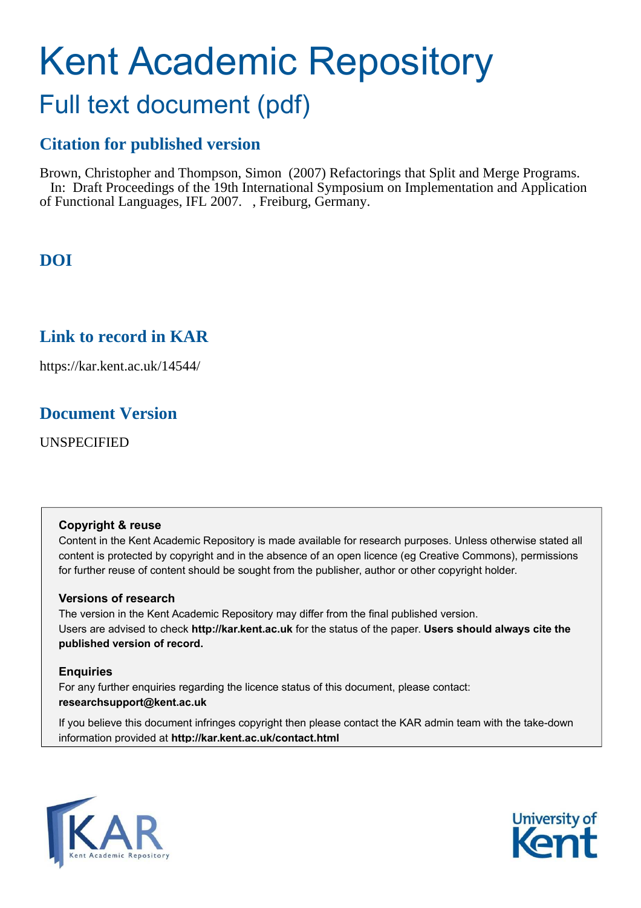# Kent Academic Repository

# Full text document (pdf)

# **Citation for published version**

Brown, Christopher and Thompson, Simon (2007) Refactorings that Split and Merge Programs. In: Draft Proceedings of the 19th International Symposium on Implementation and Application of Functional Languages, IFL 2007. , Freiburg, Germany.

# **DOI**

# **Link to record in KAR**

https://kar.kent.ac.uk/14544/

## **Document Version**

UNSPECIFIED

## **Copyright & reuse**

Content in the Kent Academic Repository is made available for research purposes. Unless otherwise stated all content is protected by copyright and in the absence of an open licence (eg Creative Commons), permissions for further reuse of content should be sought from the publisher, author or other copyright holder.

## **Versions of research**

The version in the Kent Academic Repository may differ from the final published version. Users are advised to check **http://kar.kent.ac.uk** for the status of the paper. **Users should always cite the published version of record.**

## **Enquiries**

For any further enquiries regarding the licence status of this document, please contact: **researchsupport@kent.ac.uk**

If you believe this document infringes copyright then please contact the KAR admin team with the take-down information provided at **http://kar.kent.ac.uk/contact.html**



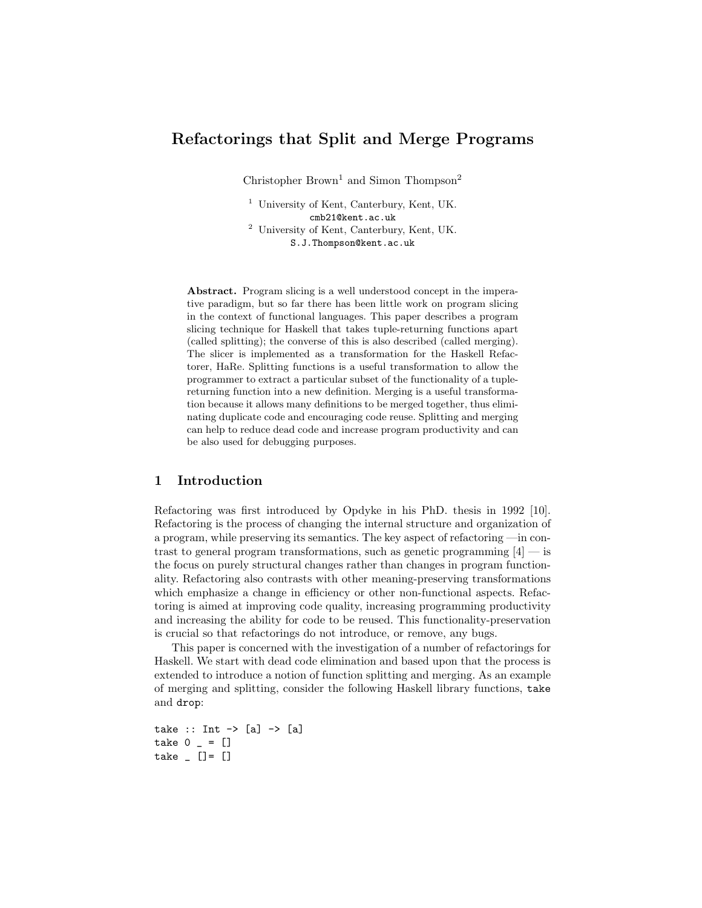## Refactorings that Split and Merge Programs

Christopher Brown<sup>1</sup> and Simon Thompson<sup>2</sup>

<sup>1</sup> University of Kent, Canterbury, Kent, UK. cmb21@kent.ac.uk <sup>2</sup> University of Kent, Canterbury, Kent, UK.

S.J.Thompson@kent.ac.uk

Abstract. Program slicing is a well understood concept in the imperative paradigm, but so far there has been little work on program slicing in the context of functional languages. This paper describes a program slicing technique for Haskell that takes tuple-returning functions apart (called splitting); the converse of this is also described (called merging). The slicer is implemented as a transformation for the Haskell Refactorer, HaRe. Splitting functions is a useful transformation to allow the programmer to extract a particular subset of the functionality of a tuplereturning function into a new definition. Merging is a useful transformation because it allows many definitions to be merged together, thus eliminating duplicate code and encouraging code reuse. Splitting and merging can help to reduce dead code and increase program productivity and can be also used for debugging purposes.

#### 1 Introduction

Refactoring was first introduced by Opdyke in his PhD. thesis in 1992 [10]. Refactoring is the process of changing the internal structure and organization of a program, while preserving its semantics. The key aspect of refactoring —in contrast to general program transformations, such as genetic programming  $[4]$  — is the focus on purely structural changes rather than changes in program functionality. Refactoring also contrasts with other meaning-preserving transformations which emphasize a change in efficiency or other non-functional aspects. Refactoring is aimed at improving code quality, increasing programming productivity and increasing the ability for code to be reused. This functionality-preservation is crucial so that refactorings do not introduce, or remove, any bugs.

This paper is concerned with the investigation of a number of refactorings for Haskell. We start with dead code elimination and based upon that the process is extended to introduce a notion of function splitting and merging. As an example of merging and splitting, consider the following Haskell library functions, take and drop:

take :: Int  $\rightarrow$  [a]  $\rightarrow$  [a] take  $0 - = []$ take  $[$   $[$   $] = [$   $]$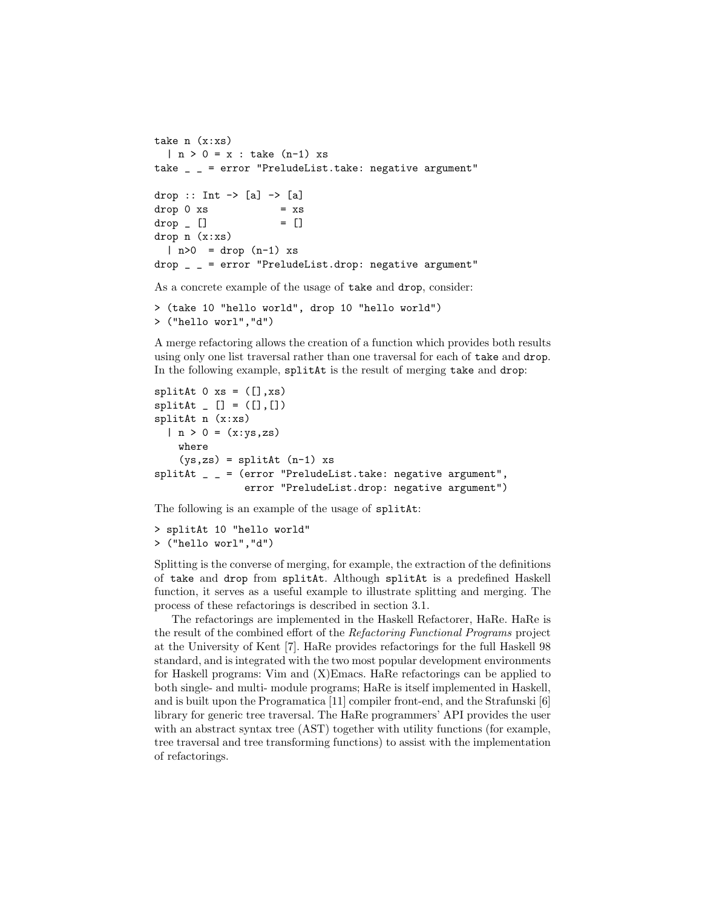```
take n (x:xs)
  | n > 0 = x : take (n-1) xs
take _ _ = error "PreludeList.take: negative argument"
drop :: Int \rightarrow [a] \rightarrow [a]
drop 0 xs = xsdrop [ = []drop n (x:xs)
  | n>0 = drop (n-1) xsdrop _ _ = error "PreludeList.drop: negative argument"
As a concrete example of the usage of take and drop, consider:
```

```
> (take 10 "hello world", drop 10 "hello world")
> ("hello worl","d")
```
A merge refactoring allows the creation of a function which provides both results using only one list traversal rather than one traversal for each of take and drop. In the following example, splitAt is the result of merging take and drop:

```
splitAt 0 xs = ([], xs)splitAt [ [ ] = ([] , [])splitAt n (x:xs)
  | n > 0 = (x:ys, zs)where
    (ys, zs) = splitAt (n-1) xssplitAt _ _ = (error "PreludeList.take: negative argument",
               error "PreludeList.drop: negative argument")
```
The following is an example of the usage of splitAt:

```
> splitAt 10 "hello world"
> ("hello worl","d")
```
Splitting is the converse of merging, for example, the extraction of the definitions of take and drop from splitAt. Although splitAt is a predefined Haskell function, it serves as a useful example to illustrate splitting and merging. The process of these refactorings is described in section 3.1.

The refactorings are implemented in the Haskell Refactorer, HaRe. HaRe is the result of the combined effort of the Refactoring Functional Programs project at the University of Kent [7]. HaRe provides refactorings for the full Haskell 98 standard, and is integrated with the two most popular development environments for Haskell programs: Vim and (X)Emacs. HaRe refactorings can be applied to both single- and multi- module programs; HaRe is itself implemented in Haskell, and is built upon the Programatica [11] compiler front-end, and the Strafunski [6] library for generic tree traversal. The HaRe programmers' API provides the user with an abstract syntax tree (AST) together with utility functions (for example, tree traversal and tree transforming functions) to assist with the implementation of refactorings.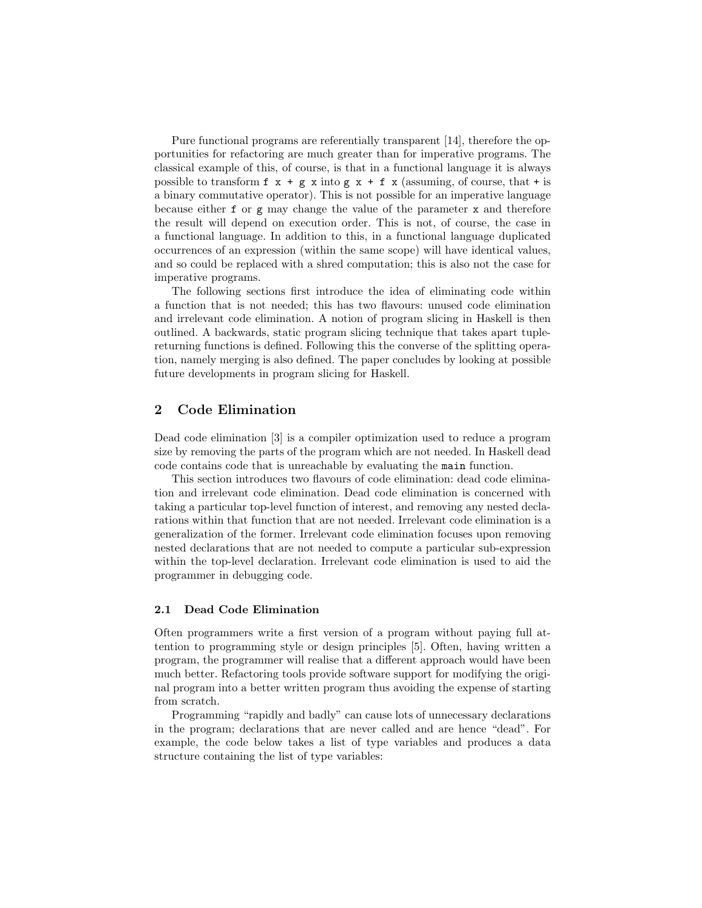Pure functional programs are referentially transparent [14], therefore the opportunities for refactoring are much greater than for imperative programs. The classical example of this, of course, is that in a functional language it is always possible to transform  $f \times + g \times$  into  $g \times + f \times$  (assuming, of course, that  $+$  is a binary commutative operator). This is not possible for an imperative language because either f or g may change the value of the parameter x and therefore the result will depend on execution order. This is not, of course, the case in a functional language. In addition to this, in a functional language duplicated occurrences of an expression (within the same scope) will have identical values, and so could be replaced with a shred computation; this is also not the case for imperative programs.

The following sections first introduce the idea of eliminating code within a function that is not needed; this has two flavours: unused code elimination and irrelevant code elimination. A notion of program slicing in Haskell is then outlined. A backwards, static program slicing technique that takes apart tuplereturning functions is defined. Following this the converse of the splitting operation, namely merging is also defined. The paper concludes by looking at possible future developments in program slicing for Haskell.

#### 2 Code Elimination

Dead code elimination [3] is a compiler optimization used to reduce a program size by removing the parts of the program which are not needed. In Haskell dead code contains code that is unreachable by evaluating the main function.

This section introduces two flavours of code elimination: dead code elimination and irrelevant code elimination. Dead code elimination is concerned with taking a particular top-level function of interest, and removing any nested declarations within that function that are not needed. Irrelevant code elimination is a generalization of the former. Irrelevant code elimination focuses upon removing nested declarations that are not needed to compute a particular sub-expression within the top-level declaration. Irrelevant code elimination is used to aid the programmer in debugging code.

#### 2.1 Dead Code Elimination

Often programmers write a first version of a program without paying full attention to programming style or design principles [5]. Often, having written a program, the programmer will realise that a different approach would have been much better. Refactoring tools provide software support for modifying the original program into a better written program thus avoiding the expense of starting from scratch.

Programming "rapidly and badly" can cause lots of unnecessary declarations in the program; declarations that are never called and are hence "dead". For example, the code below takes a list of type variables and produces a data structure containing the list of type variables: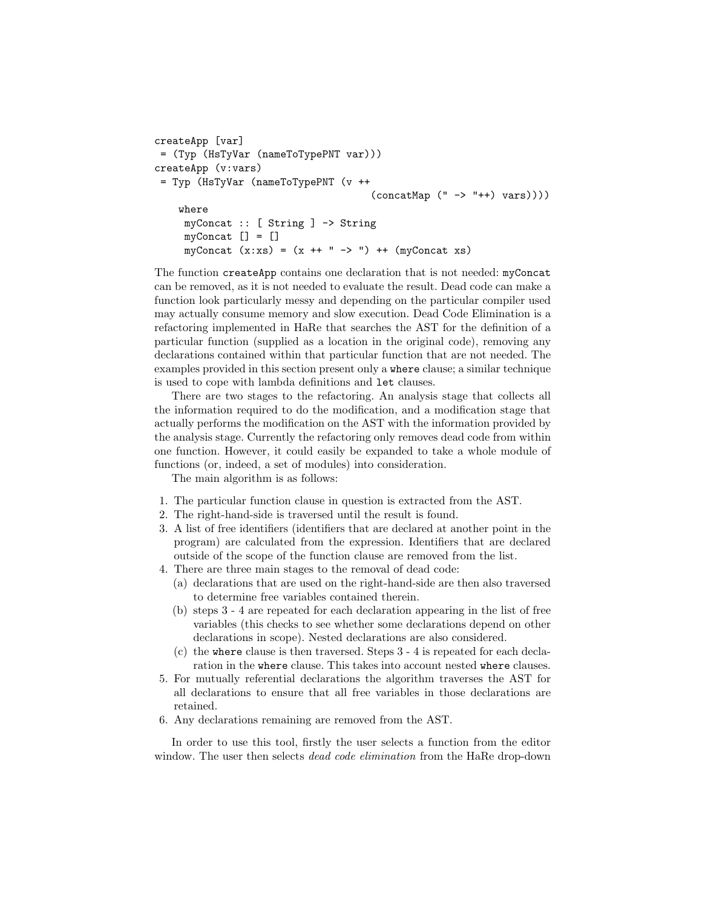```
createApp [var]
= (Typ (HsTyVar (nameToTypePNT var)))
createApp (v:vars)
= Typ (HsTyVar (nameToTypePNT (v ++
                                    (concatMap (" -> "++) vars))))
    where
    myConcat :: [ String ] -> String
    myConcat [] = []myConcat (x:xs) = (x ++ " -> ") ++ (myConcat xs)
```
The function createApp contains one declaration that is not needed: myConcat can be removed, as it is not needed to evaluate the result. Dead code can make a function look particularly messy and depending on the particular compiler used may actually consume memory and slow execution. Dead Code Elimination is a refactoring implemented in HaRe that searches the AST for the definition of a particular function (supplied as a location in the original code), removing any declarations contained within that particular function that are not needed. The examples provided in this section present only a where clause; a similar technique is used to cope with lambda definitions and let clauses.

There are two stages to the refactoring. An analysis stage that collects all the information required to do the modification, and a modification stage that actually performs the modification on the AST with the information provided by the analysis stage. Currently the refactoring only removes dead code from within one function. However, it could easily be expanded to take a whole module of functions (or, indeed, a set of modules) into consideration.

The main algorithm is as follows:

- 1. The particular function clause in question is extracted from the AST.
- 2. The right-hand-side is traversed until the result is found.
- 3. A list of free identifiers (identifiers that are declared at another point in the program) are calculated from the expression. Identifiers that are declared outside of the scope of the function clause are removed from the list.
- 4. There are three main stages to the removal of dead code:
	- (a) declarations that are used on the right-hand-side are then also traversed to determine free variables contained therein.
	- (b) steps 3 4 are repeated for each declaration appearing in the list of free variables (this checks to see whether some declarations depend on other declarations in scope). Nested declarations are also considered.
	- (c) the where clause is then traversed. Steps 3 4 is repeated for each declaration in the where clause. This takes into account nested where clauses.
- 5. For mutually referential declarations the algorithm traverses the AST for all declarations to ensure that all free variables in those declarations are retained.
- 6. Any declarations remaining are removed from the AST.

In order to use this tool, firstly the user selects a function from the editor window. The user then selects *dead code elimination* from the HaRe drop-down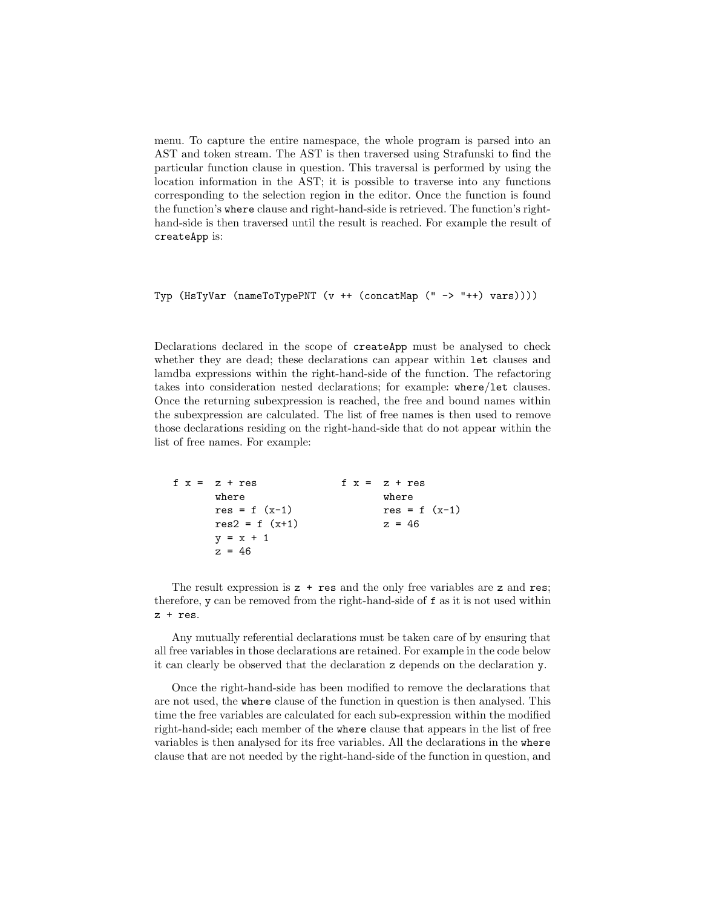menu. To capture the entire namespace, the whole program is parsed into an AST and token stream. The AST is then traversed using Strafunski to find the particular function clause in question. This traversal is performed by using the location information in the AST; it is possible to traverse into any functions corresponding to the selection region in the editor. Once the function is found the function's where clause and right-hand-side is retrieved. The function's righthand-side is then traversed until the result is reached. For example the result of createApp is:

```
Typ (HsTyVar (nameToTypePNT (v ++ (concatMap (" -> "++) vars))))
```
Declarations declared in the scope of createApp must be analysed to check whether they are dead; these declarations can appear within let clauses and lamdba expressions within the right-hand-side of the function. The refactoring takes into consideration nested declarations; for example: where/let clauses. Once the returning subexpression is reached, the free and bound names within the subexpression are calculated. The list of free names is then used to remove those declarations residing on the right-hand-side that do not appear within the list of free names. For example:

```
f x = z + reswhere
      res = f (x-1)res2 = f (x+1)y = x + 1z = 46f x = z + reswhere
                                res = f (x-1)z = 46
```
The result expression is  $z + \text{res}$  and the only free variables are z and res; therefore, y can be removed from the right-hand-side of f as it is not used within z + res.

Any mutually referential declarations must be taken care of by ensuring that all free variables in those declarations are retained. For example in the code below it can clearly be observed that the declaration z depends on the declaration y.

Once the right-hand-side has been modified to remove the declarations that are not used, the where clause of the function in question is then analysed. This time the free variables are calculated for each sub-expression within the modified right-hand-side; each member of the where clause that appears in the list of free variables is then analysed for its free variables. All the declarations in the where clause that are not needed by the right-hand-side of the function in question, and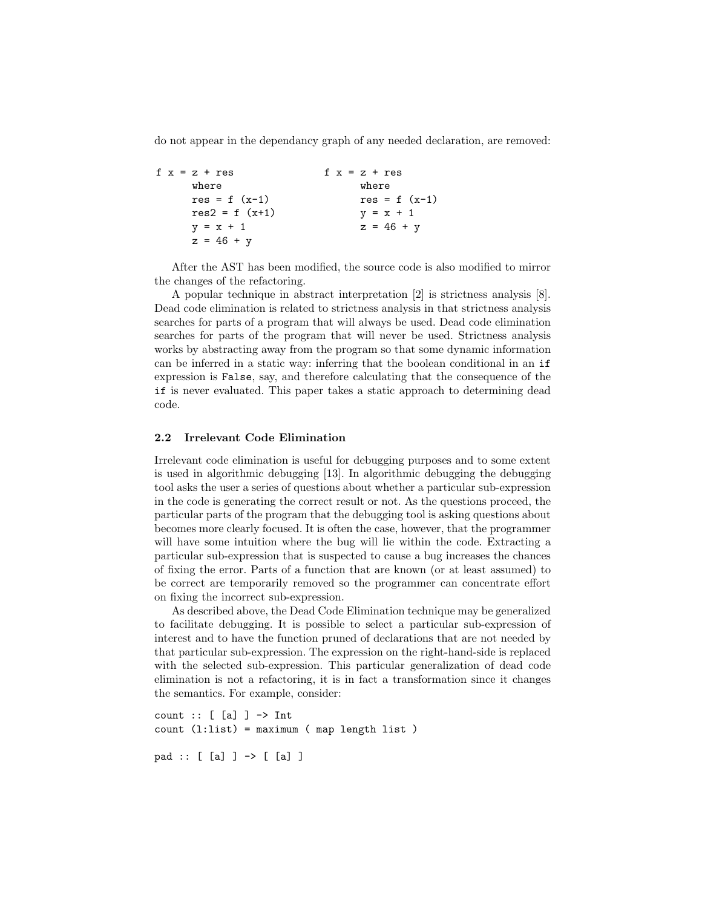do not appear in the dependancy graph of any needed declaration, are removed:

```
f x = z + reswhere
     res = f (x-1)res2 = f (x+1)y = x + 1z = 46 + yf x = z + reswhere
                                res = f(x-1)y = x + 1z = 46 + y
```
After the AST has been modified, the source code is also modified to mirror the changes of the refactoring.

A popular technique in abstract interpretation [2] is strictness analysis [8]. Dead code elimination is related to strictness analysis in that strictness analysis searches for parts of a program that will always be used. Dead code elimination searches for parts of the program that will never be used. Strictness analysis works by abstracting away from the program so that some dynamic information can be inferred in a static way: inferring that the boolean conditional in an if expression is False, say, and therefore calculating that the consequence of the if is never evaluated. This paper takes a static approach to determining dead code.

#### 2.2 Irrelevant Code Elimination

Irrelevant code elimination is useful for debugging purposes and to some extent is used in algorithmic debugging [13]. In algorithmic debugging the debugging tool asks the user a series of questions about whether a particular sub-expression in the code is generating the correct result or not. As the questions proceed, the particular parts of the program that the debugging tool is asking questions about becomes more clearly focused. It is often the case, however, that the programmer will have some intuition where the bug will lie within the code. Extracting a particular sub-expression that is suspected to cause a bug increases the chances of fixing the error. Parts of a function that are known (or at least assumed) to be correct are temporarily removed so the programmer can concentrate effort on fixing the incorrect sub-expression.

As described above, the Dead Code Elimination technique may be generalized to facilitate debugging. It is possible to select a particular sub-expression of interest and to have the function pruned of declarations that are not needed by that particular sub-expression. The expression on the right-hand-side is replaced with the selected sub-expression. This particular generalization of dead code elimination is not a refactoring, it is in fact a transformation since it changes the semantics. For example, consider:

count  $:: [ [a] ] \rightarrow Int$ count (l:list) = maximum ( map length list )

pad :: [ [a] ] -> [ [a] ]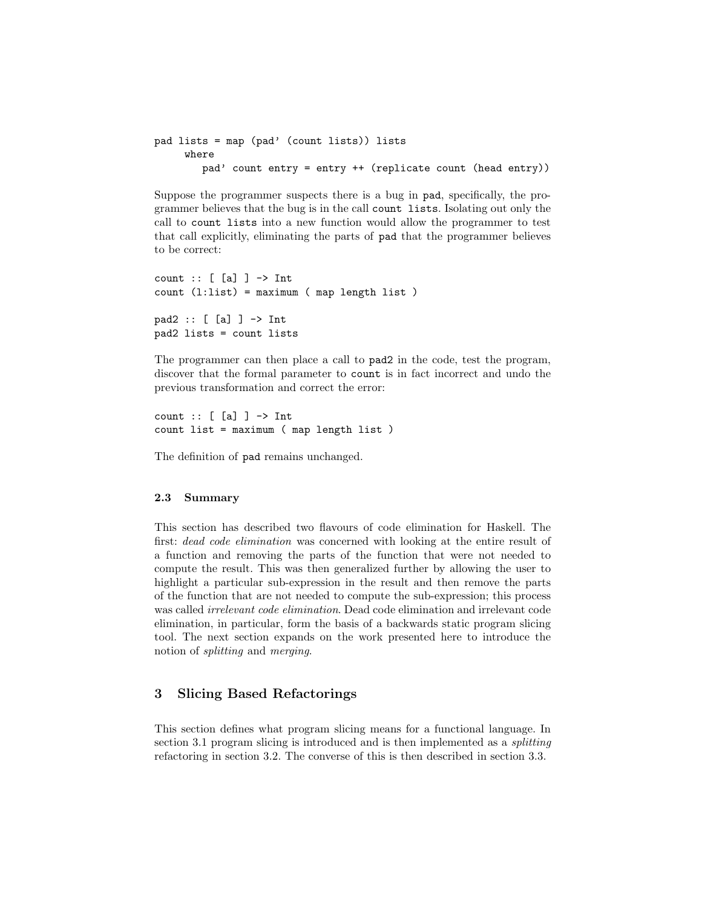```
pad lists = map (pad' (count lists)) lists
    where
        pad' count entry = entry ++ (replicate count (head entry))
```
Suppose the programmer suspects there is a bug in pad, specifically, the programmer believes that the bug is in the call count lists. Isolating out only the call to count lists into a new function would allow the programmer to test that call explicitly, eliminating the parts of pad that the programmer believes to be correct:

```
count :: [ [a] ] \rightarrow Intcount (l:list) = maximum ( map length list )
pad2 :: [ [a] ] -> Int
pad2 lists = count lists
```
The programmer can then place a call to pad2 in the code, test the program, discover that the formal parameter to count is in fact incorrect and undo the previous transformation and correct the error:

```
count :: [ [a] ] -> Int
count list = maximum ( map length list )
```
The definition of pad remains unchanged.

#### 2.3 Summary

This section has described two flavours of code elimination for Haskell. The first: dead code elimination was concerned with looking at the entire result of a function and removing the parts of the function that were not needed to compute the result. This was then generalized further by allowing the user to highlight a particular sub-expression in the result and then remove the parts of the function that are not needed to compute the sub-expression; this process was called irrelevant code elimination. Dead code elimination and irrelevant code elimination, in particular, form the basis of a backwards static program slicing tool. The next section expands on the work presented here to introduce the notion of splitting and merging.

### 3 Slicing Based Refactorings

This section defines what program slicing means for a functional language. In section 3.1 program slicing is introduced and is then implemented as a *splitting* refactoring in section 3.2. The converse of this is then described in section 3.3.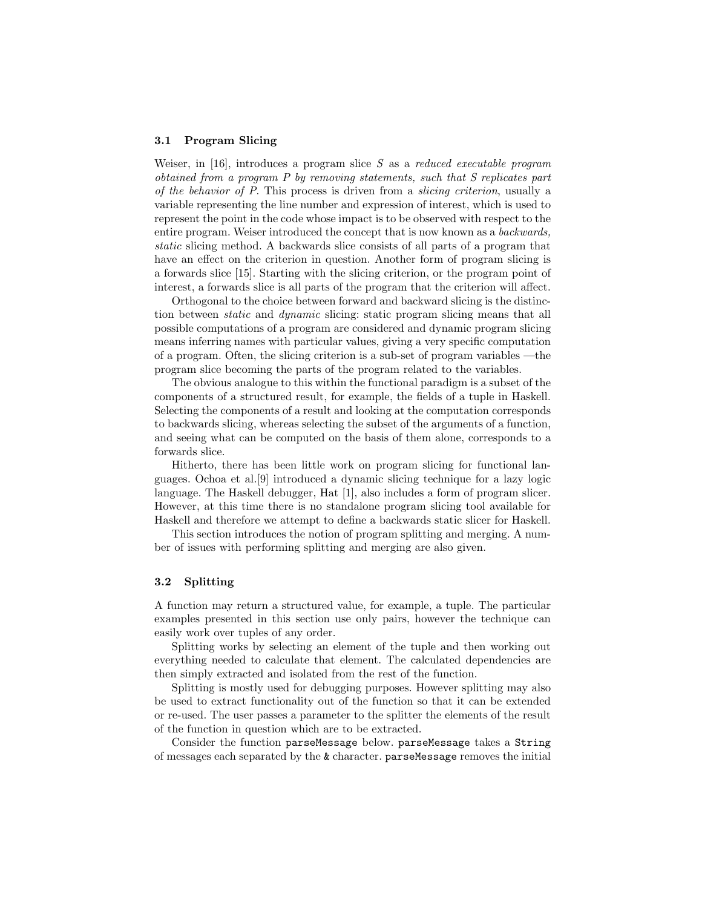#### 3.1 Program Slicing

Weiser, in  $[16]$ , introduces a program slice S as a *reduced executable program* obtained from a program P by removing statements, such that S replicates part of the behavior of P. This process is driven from a slicing criterion, usually a variable representing the line number and expression of interest, which is used to represent the point in the code whose impact is to be observed with respect to the entire program. Weiser introduced the concept that is now known as a backwards, static slicing method. A backwards slice consists of all parts of a program that have an effect on the criterion in question. Another form of program slicing is a forwards slice [15]. Starting with the slicing criterion, or the program point of interest, a forwards slice is all parts of the program that the criterion will affect.

Orthogonal to the choice between forward and backward slicing is the distinction between *static* and *dynamic* slicing: static program slicing means that all possible computations of a program are considered and dynamic program slicing means inferring names with particular values, giving a very specific computation of a program. Often, the slicing criterion is a sub-set of program variables —the program slice becoming the parts of the program related to the variables.

The obvious analogue to this within the functional paradigm is a subset of the components of a structured result, for example, the fields of a tuple in Haskell. Selecting the components of a result and looking at the computation corresponds to backwards slicing, whereas selecting the subset of the arguments of a function, and seeing what can be computed on the basis of them alone, corresponds to a forwards slice.

Hitherto, there has been little work on program slicing for functional languages. Ochoa et al.[9] introduced a dynamic slicing technique for a lazy logic language. The Haskell debugger, Hat [1], also includes a form of program slicer. However, at this time there is no standalone program slicing tool available for Haskell and therefore we attempt to define a backwards static slicer for Haskell.

This section introduces the notion of program splitting and merging. A number of issues with performing splitting and merging are also given.

#### 3.2 Splitting

A function may return a structured value, for example, a tuple. The particular examples presented in this section use only pairs, however the technique can easily work over tuples of any order.

Splitting works by selecting an element of the tuple and then working out everything needed to calculate that element. The calculated dependencies are then simply extracted and isolated from the rest of the function.

Splitting is mostly used for debugging purposes. However splitting may also be used to extract functionality out of the function so that it can be extended or re-used. The user passes a parameter to the splitter the elements of the result of the function in question which are to be extracted.

Consider the function parseMessage below. parseMessage takes a String of messages each separated by the & character. parseMessage removes the initial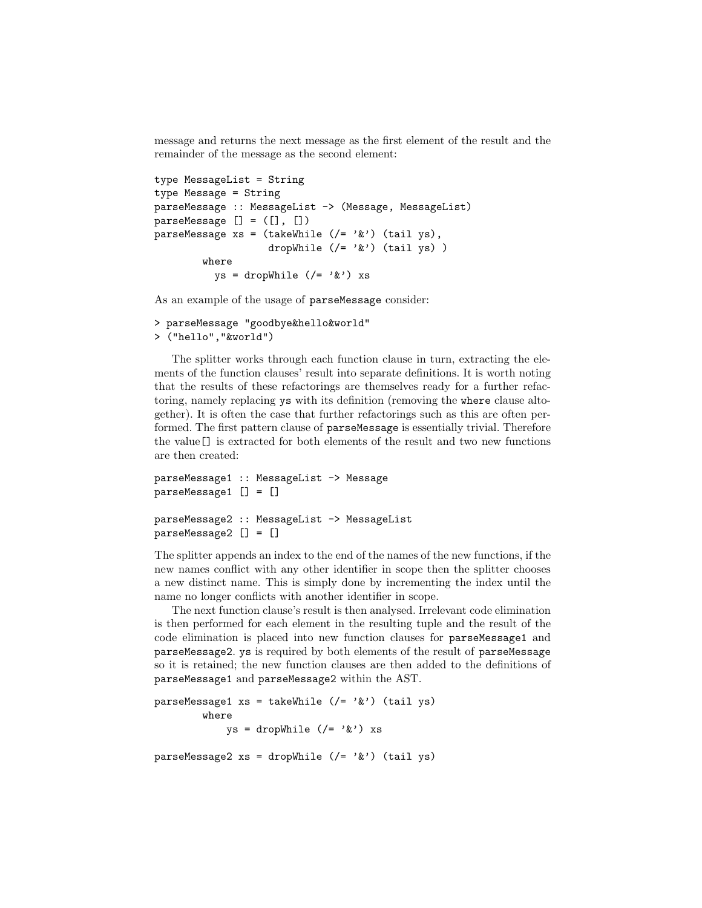message and returns the next message as the first element of the result and the remainder of the message as the second element:

```
type MessageList = String
type Message = String
parseMessage :: MessageList -> (Message, MessageList)
parseMessage [] = ([], []parseMessage xs = (takeWhile ((= '&') (tail ys)),dropWhile (/= '\&') (tail ys))
        where
          \forall s = dropWhile (/= '&') xs
```
As an example of the usage of parseMessage consider:

```
> parseMessage "goodbye&hello&world"
> ("hello","&world")
```
The splitter works through each function clause in turn, extracting the elements of the function clauses' result into separate definitions. It is worth noting that the results of these refactorings are themselves ready for a further refactoring, namely replacing ys with its definition (removing the where clause altogether). It is often the case that further refactorings such as this are often performed. The first pattern clause of parseMessage is essentially trivial. Therefore the value[] is extracted for both elements of the result and two new functions are then created:

```
parseMessage1 :: MessageList -> Message
parseMessage1 [] = []
parseMessage2 :: MessageList -> MessageList
parseMessage2 [] = []
```
The splitter appends an index to the end of the names of the new functions, if the new names conflict with any other identifier in scope then the splitter chooses a new distinct name. This is simply done by incrementing the index until the name no longer conflicts with another identifier in scope.

The next function clause's result is then analysed. Irrelevant code elimination is then performed for each element in the resulting tuple and the result of the code elimination is placed into new function clauses for parseMessage1 and parseMessage2. ys is required by both elements of the result of parseMessage so it is retained; the new function clauses are then added to the definitions of parseMessage1 and parseMessage2 within the AST.

```
parseMessage1 xs = takeWhile (/= ' &') (tail ys)
        where
            ys = dropWhile ((= '&') xsparseMessage2 xs = dropWhile (/= '&') (tail ys)
```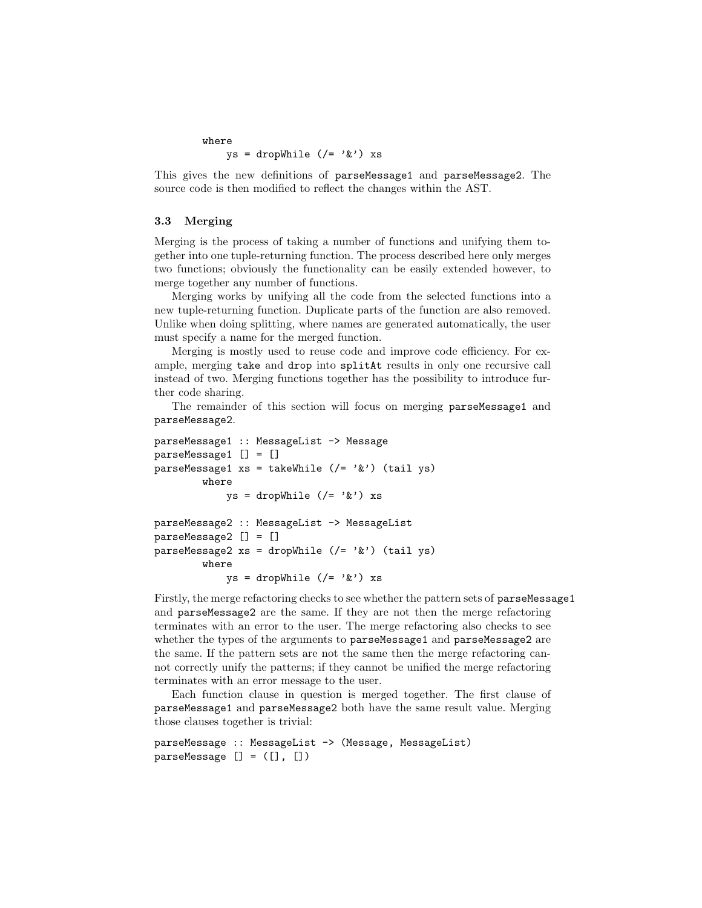```
where
       ys = dropWhile \left(\frac{\ }{}\right)^{2} / \& ') xs
```
This gives the new definitions of parseMessage1 and parseMessage2. The source code is then modified to reflect the changes within the AST.

#### 3.3 Merging

Merging is the process of taking a number of functions and unifying them together into one tuple-returning function. The process described here only merges two functions; obviously the functionality can be easily extended however, to merge together any number of functions.

Merging works by unifying all the code from the selected functions into a new tuple-returning function. Duplicate parts of the function are also removed. Unlike when doing splitting, where names are generated automatically, the user must specify a name for the merged function.

Merging is mostly used to reuse code and improve code efficiency. For example, merging take and drop into splitAt results in only one recursive call instead of two. Merging functions together has the possibility to introduce further code sharing.

The remainder of this section will focus on merging parseMessage1 and parseMessage2.

```
parseMessage1 :: MessageList -> Message
parseMessage1 [] = []
parseMessage1 xs = takeWhile (/= '&') (tail ys)
        where
             ys = dropWhile \left(\frac{\ }{}\right)^{2} / \& ') xs
parseMessage2 :: MessageList -> MessageList
parseMessage2 [] = []
parseMessage2 xs = dropWhile (/= '&') (tail ys)
        where
             ys = dropWhile (/= '&') xs
```
Firstly, the merge refactoring checks to see whether the pattern sets of parseMessage1 and parseMessage2 are the same. If they are not then the merge refactoring terminates with an error to the user. The merge refactoring also checks to see whether the types of the arguments to parseMessage1 and parseMessage2 are the same. If the pattern sets are not the same then the merge refactoring cannot correctly unify the patterns; if they cannot be unified the merge refactoring terminates with an error message to the user.

Each function clause in question is merged together. The first clause of parseMessage1 and parseMessage2 both have the same result value. Merging those clauses together is trivial:

```
parseMessage :: MessageList -> (Message, MessageList)
parseMessage [] = ([], [])
```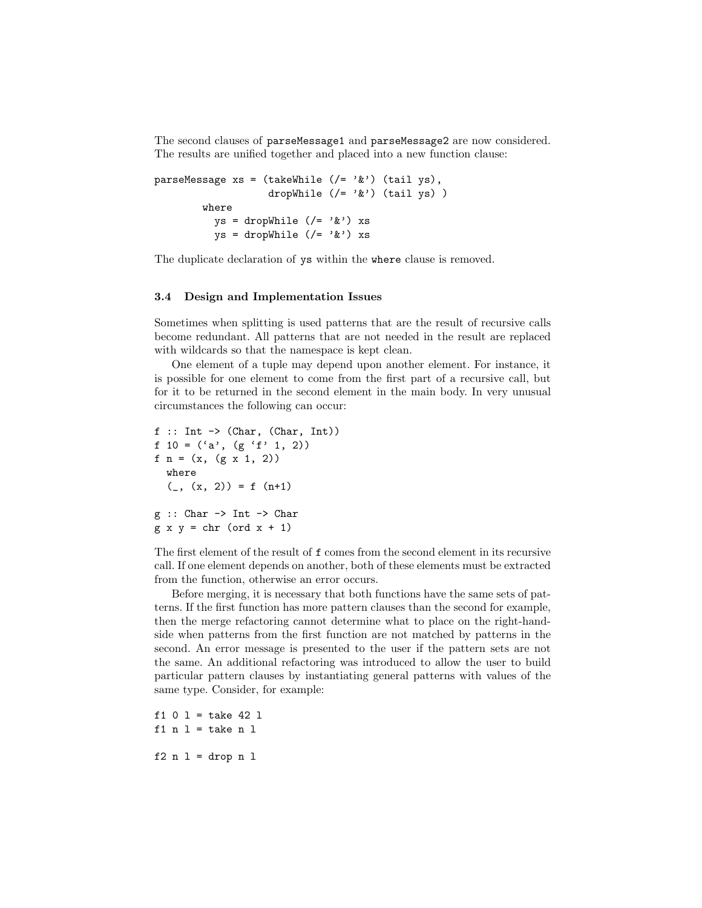The second clauses of parseMessage1 and parseMessage2 are now considered. The results are unified together and placed into a new function clause:

```
parseMessage xs = (takeWhile (/= '&') (tail ys),
                   dropWhile (/= '&') (tail ys) )
        where
          ys = dropWhile (/= ' &') xs
         ys = dropWhile ((= '&') xs
```
The duplicate declaration of ys within the where clause is removed.

#### 3.4 Design and Implementation Issues

Sometimes when splitting is used patterns that are the result of recursive calls become redundant. All patterns that are not needed in the result are replaced with wildcards so that the namespace is kept clean.

One element of a tuple may depend upon another element. For instance, it is possible for one element to come from the first part of a recursive call, but for it to be returned in the second element in the main body. In very unusual circumstances the following can occur:

```
f :: Int \rightarrow (Char, (Char, Int))
f 10 = ('a', (g 'f' 1, 2))f n = (x, (g x 1, 2))where
  (\_, (x, 2)) = f (n+1)g :: Char \rightarrow Int \rightarrow Char
g \times y = chr (ord x + 1)
```
The first element of the result of f comes from the second element in its recursive call. If one element depends on another, both of these elements must be extracted from the function, otherwise an error occurs.

Before merging, it is necessary that both functions have the same sets of patterns. If the first function has more pattern clauses than the second for example, then the merge refactoring cannot determine what to place on the right-handside when patterns from the first function are not matched by patterns in the second. An error message is presented to the user if the pattern sets are not the same. An additional refactoring was introduced to allow the user to build particular pattern clauses by instantiating general patterns with values of the same type. Consider, for example:

 $f1 0 1 = take 42 1$ f1  $n$  1 = take  $n$  1  $f2 n 1 = drop n 1$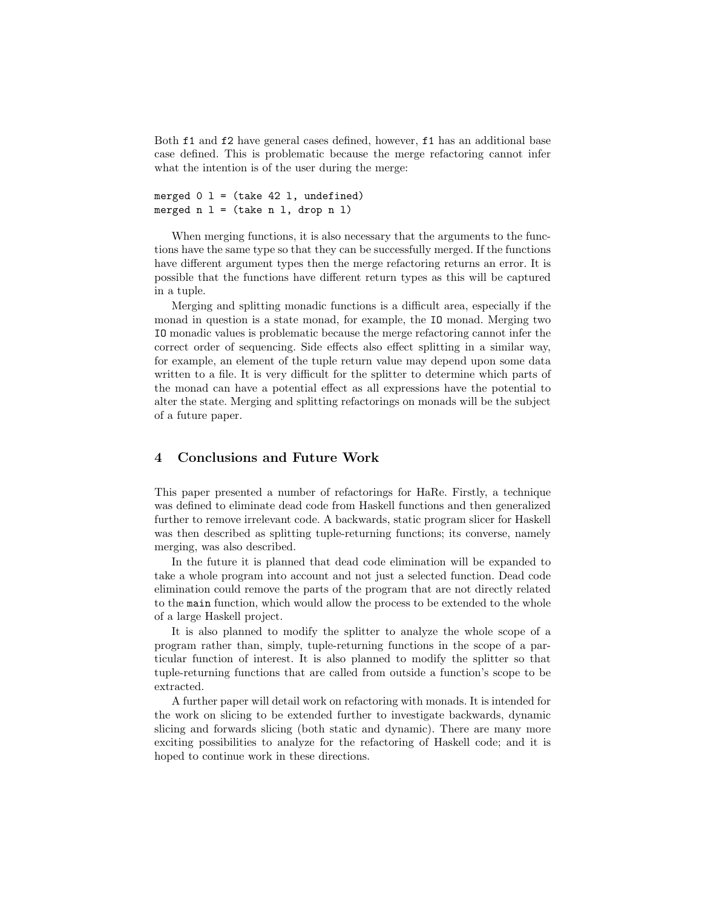Both f1 and f2 have general cases defined, however, f1 has an additional base case defined. This is problematic because the merge refactoring cannot infer what the intention is of the user during the merge:

```
merged 0 \, 1 = (take \, 42 \, 1, undefined)merged n l = (take n l, drop n l)
```
When merging functions, it is also necessary that the arguments to the functions have the same type so that they can be successfully merged. If the functions have different argument types then the merge refactoring returns an error. It is possible that the functions have different return types as this will be captured in a tuple.

Merging and splitting monadic functions is a difficult area, especially if the monad in question is a state monad, for example, the IO monad. Merging two IO monadic values is problematic because the merge refactoring cannot infer the correct order of sequencing. Side effects also effect splitting in a similar way, for example, an element of the tuple return value may depend upon some data written to a file. It is very difficult for the splitter to determine which parts of the monad can have a potential effect as all expressions have the potential to alter the state. Merging and splitting refactorings on monads will be the subject of a future paper.

#### 4 Conclusions and Future Work

This paper presented a number of refactorings for HaRe. Firstly, a technique was defined to eliminate dead code from Haskell functions and then generalized further to remove irrelevant code. A backwards, static program slicer for Haskell was then described as splitting tuple-returning functions; its converse, namely merging, was also described.

In the future it is planned that dead code elimination will be expanded to take a whole program into account and not just a selected function. Dead code elimination could remove the parts of the program that are not directly related to the main function, which would allow the process to be extended to the whole of a large Haskell project.

It is also planned to modify the splitter to analyze the whole scope of a program rather than, simply, tuple-returning functions in the scope of a particular function of interest. It is also planned to modify the splitter so that tuple-returning functions that are called from outside a function's scope to be extracted.

A further paper will detail work on refactoring with monads. It is intended for the work on slicing to be extended further to investigate backwards, dynamic slicing and forwards slicing (both static and dynamic). There are many more exciting possibilities to analyze for the refactoring of Haskell code; and it is hoped to continue work in these directions.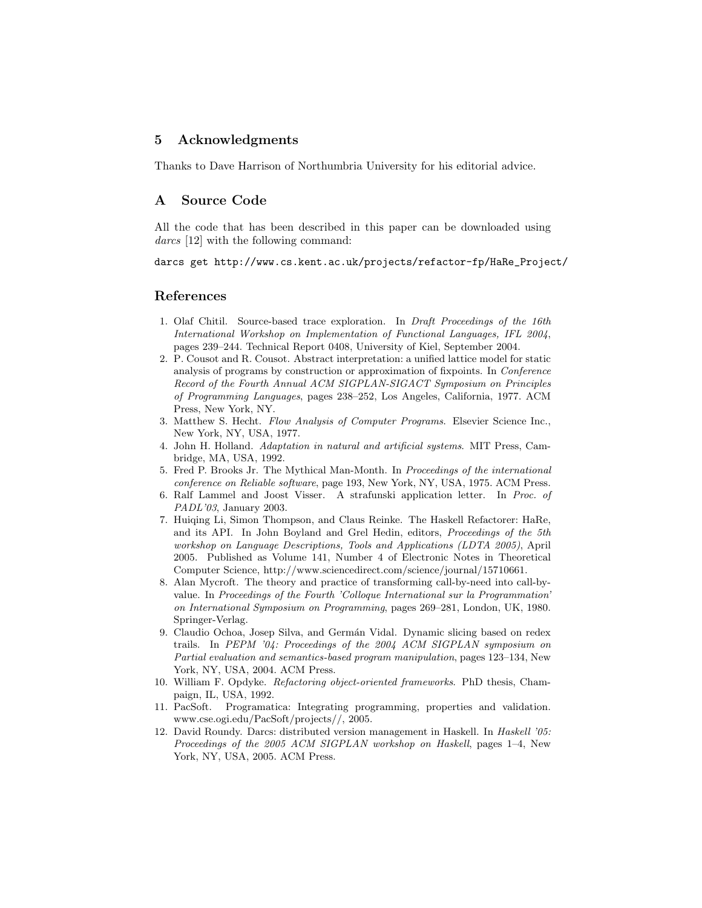#### 5 Acknowledgments

Thanks to Dave Harrison of Northumbria University for his editorial advice.

#### A Source Code

All the code that has been described in this paper can be downloaded using darcs [12] with the following command:

darcs get http://www.cs.kent.ac.uk/projects/refactor-fp/HaRe\_Project/

#### References

- 1. Olaf Chitil. Source-based trace exploration. In *Draft Proceedings of the 16th International Workshop on Implementation of Functional Languages, IFL 2004*, pages 239–244. Technical Report 0408, University of Kiel, September 2004.
- 2. P. Cousot and R. Cousot. Abstract interpretation: a unified lattice model for static analysis of programs by construction or approximation of fixpoints. In *Conference Record of the Fourth Annual ACM SIGPLAN-SIGACT Symposium on Principles of Programming Languages*, pages 238–252, Los Angeles, California, 1977. ACM Press, New York, NY.
- 3. Matthew S. Hecht. *Flow Analysis of Computer Programs*. Elsevier Science Inc., New York, NY, USA, 1977.
- 4. John H. Holland. *Adaptation in natural and artificial systems*. MIT Press, Cambridge, MA, USA, 1992.
- 5. Fred P. Brooks Jr. The Mythical Man-Month. In *Proceedings of the international conference on Reliable software*, page 193, New York, NY, USA, 1975. ACM Press.
- 6. Ralf Lammel and Joost Visser. A strafunski application letter. In *Proc. of PADL'03*, January 2003.
- 7. Huiqing Li, Simon Thompson, and Claus Reinke. The Haskell Refactorer: HaRe, and its API. In John Boyland and Grel Hedin, editors, *Proceedings of the 5th workshop on Language Descriptions, Tools and Applications (LDTA 2005)*, April 2005. Published as Volume 141, Number 4 of Electronic Notes in Theoretical Computer Science, http://www.sciencedirect.com/science/journal/15710661.
- 8. Alan Mycroft. The theory and practice of transforming call-by-need into call-byvalue. In *Proceedings of the Fourth 'Colloque International sur la Programmation' on International Symposium on Programming*, pages 269–281, London, UK, 1980. Springer-Verlag.
- 9. Claudio Ochoa, Josep Silva, and Germán Vidal. Dynamic slicing based on redex trails. In *PEPM '04: Proceedings of the 2004 ACM SIGPLAN symposium on Partial evaluation and semantics-based program manipulation*, pages 123–134, New York, NY, USA, 2004. ACM Press.
- 10. William F. Opdyke. *Refactoring object-oriented frameworks*. PhD thesis, Champaign, IL, USA, 1992.
- 11. PacSoft. Programatica: Integrating programming, properties and validation. www.cse.ogi.edu/PacSoft/projects//, 2005.
- 12. David Roundy. Darcs: distributed version management in Haskell. In *Haskell '05: Proceedings of the 2005 ACM SIGPLAN workshop on Haskell*, pages 1–4, New York, NY, USA, 2005. ACM Press.